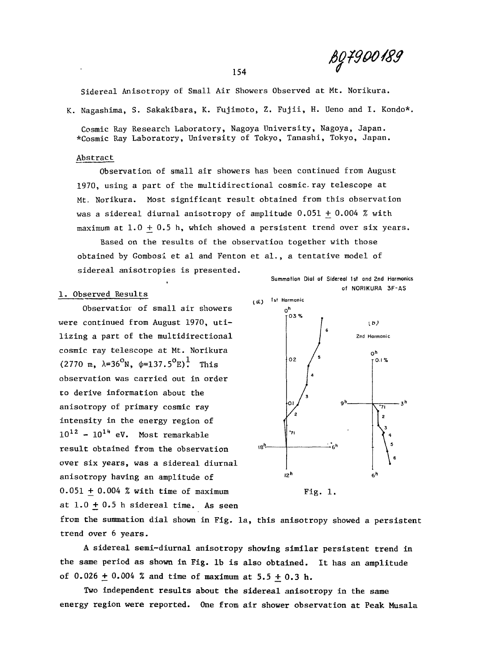*mrnm 0* 

**Sidereal Anisotropy of Small Air Showers Observed at Mt. Norikura.** 

K. Nagashima, S. Sakakibara, K. Fujimoto, Z. Fujii, H. Ueno and I. Kondo\*.

**Cosmic Ray Research Laboratory, Nagoya University, Nagoya, Japan. \*Cosmic Ray Laboratory, University of Tokyo, Tanashi, Tokyo, Japan.** 

## **Abstract**

Observation of small air showers has been continued from August 1970, using a part of the multidirectional cosmic. ray telescope at Mt. Norikura. Most significant result obtained from this observation was a sidereal diurnal anisotropy of amplitude  $0.051 + 0.004$  % with maximum at  $1.0 + 0.5$  h, which showed a persistent trend over six years.

Based on the results of the observation together with those obtained by Gombosi et al and Fenton et al., a tentative model of sidereal anisotropies is presented.

## **1. Observed Results**

Observatiox of small air showers were continued from August 1970, utilizing a part of the multidirectional cosmic ray telescope at Mt. Norikura (2770 m,  $\lambda = 36^{\circ}N$ ,  $\phi = 137.5^{\circ}E$ )<sup>1</sup>. This observation was carried out in order to derive information about the anisotropy of primary cosmic ray intensity in the energy region of  $10^{12}$  -  $10^{14}$  eV. Most remarkable result obtained from the observation over six years, was a sidereal diurnal anisotropy having an amplitude of  $0.051 + 0.004$  % with time of maximum at  $1.0 + 0.5$  h sidereal time. As seen





Fig. 1.

from the summation dial shown in Fig. la, this anisotropy showed a persistent trend over 6 years.

A sidereal semi-diurnal anisotropy showing similar persistent trend in the same period as shown in Fig. 1b is also obtained. It has an amplitude of 0.026 + 0.004 % and time of maximum at  $5.5 \pm 0.3$  h.

Two independent results about the sidereal anisotropy in the same energy region were reported. One from air shower observation at Peak Musala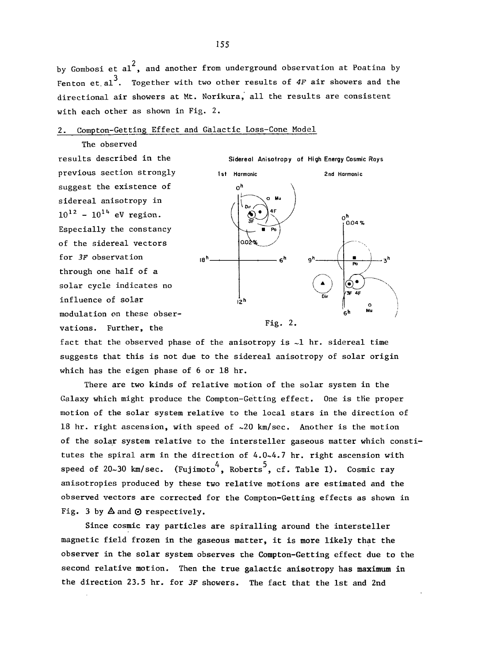by Gombosi et al<sup>2</sup>, and another from underground observation at Poatina by **Fenton et.al . Together with two other results of** *4F* **air showers and the directional air showers at Mt. Norikura, all the results are consistent with each other as shown in Fig. 2.** 

## **2. Compton-Getting Effect and Galactic Loss-Cone Model**

**The observed results described in the previous section strongly suggest the existence of sidereal anisotropy in**   $10^{12}$  -  $10^{14}$  eV region. **Especially the constancy of the sidereal vectors for** *3F* **observation through one half of a solar cycle indicates no influence of solar modulation on these observations. Further, the** 



**fact that the observed phase of the anisotropy is ~1 hr. sidereal time suggests that this is not due to the sidereal anisotropy of solar origin which has the eigen phase of 6 or 18 hr.** 

**There are two kinds of relative motion of the solar system in the Galaxy which might produce the Compton-Getting effect. One is the proper motion of the solar system relative to the local stars in the direction of 18 hr. right ascension, with speed of ~20 km/sec. Another is the motion of the solar system relative to the intersteller gaseous matter which constitutes the spiral arm in the direction of 4.0~4.7 hr. right ascension with speed of 20~30 km/sec. (Fujimoto^, Roberts"\*, cf. Table I). Cosmic ray anisotropies produced by these two relative motions are estimated and the observed vectors are corrected for the Compton-Getting effects as shown in Fig. 3 by** A **and** 0 **respectively.** 

**Since cosmic ray particles are spiralling around the intersteller magnetic field frozen in the gaseous matter, it is more likely that the observer in the solar system observes the Compton-Getting effect due to the second relative motion. Then the true galactic anisotropy has maximum in the direction 23.5 hr. for** *3F* **showers. The fact that the 1st and 2nd**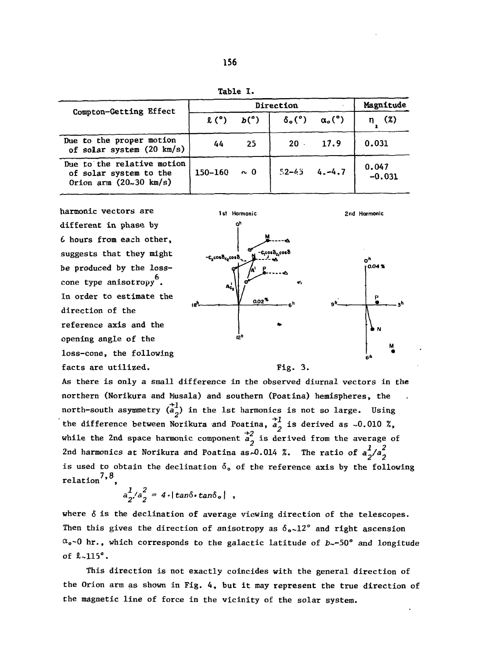| Compton-Getting Effect                                                                   | Direction   |                            |                                                                       |              | Magnitude         |  |
|------------------------------------------------------------------------------------------|-------------|----------------------------|-----------------------------------------------------------------------|--------------|-------------------|--|
|                                                                                          |             | $\ell^{\circ}$ $b^{\circ}$ | $\delta_{\mathfrak{o}}({\degree})$ $\alpha_{\mathfrak{o}}({\degree})$ |              | (2)               |  |
| Due to the proper motion<br>of solar system (20 km/s)                                    | 44          | -25                        |                                                                       | $20 \t 17.9$ | 0.031             |  |
| Due to the relative motion<br>of solar system to the<br>Orion arm $(20-30 \text{ km/s})$ | $150 - 160$ | $\sim 0$                   | $52 - 65$                                                             | $4. -4.7$    | 0.047<br>$-0.031$ |  |

harmonic vectors are different in phase by 6 hours from each other, suggests that they might be produced by the losscone type anisotropy<sup>b</sup>. In order to estimate the In order t o estimat e the direction of the reference axis and the opening angle of the loss-cone, the following facts are utilized.



As there is only a small difference in the observed diurnal vectors in the northern (Norikura and Musala) and southern (Poatina) hemispheres, the northern (Norikura and Musala) and southern (Poatina ) hemispheres, the north-south-asymmetry  $(a^2)$  in the 1st harmonics is not so large. Using while the 2nd space harmonic component  $\frac{+2}{a}$  is derived from the average of 2nd harmonics at Norikura and Poatina as 0.014 %. The ratio of  $a_2^2/a_2^2$  $2n \times 2$ nd harmonics a t North and Poatin a as $\frac{1}{2}$  $\frac{7.8}{7.8}$ 

$$
a_2^1/a_2^2 = 4 \cdot |\tan \delta \cdot \tan \delta_o| ,
$$

where  $\delta$  is the declination of average viewing direction of the telescopes. Then this gives the direction of anisotropy as  $\delta_{o} \sim 12^{\circ}$  and right ascension  $\alpha_{o}$ ~0 hr., which corresponds to the galactic latitude of  $b \sim$ -50° and longitude of 8-115° .

This direction is not exactly coincides with the general direction of the Orion arm as shown in Fig. 4, but it may represent the true direction of the magnetic line of force in the vicinity of the solar system.

Table 1.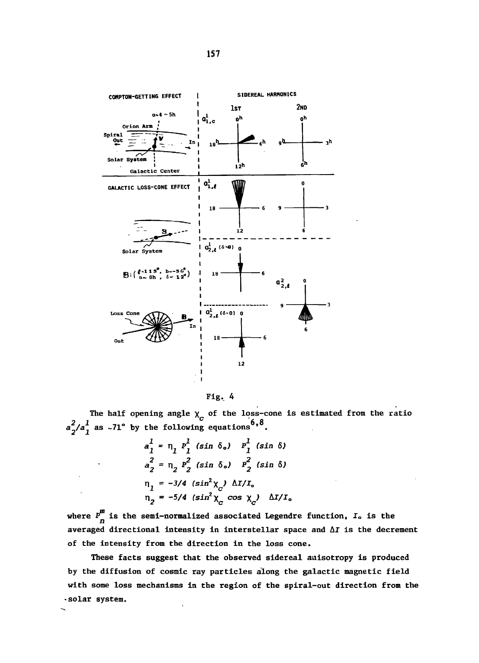



The half opening angle  $\chi_c$  of the loss-cone is estimated from the ratio  $a_2^2/a_1^1$  as ~71° by the following equations<sup>6,8</sup>.

$$
a_1^1 = \eta_1 P_1^1 (\sin \delta_0) P_1^1 (\sin \delta)
$$
  
\n
$$
a_2^2 = \eta_2 P_2^2 (\sin \delta_0) P_2^2 (\sin \delta)
$$
  
\n
$$
\eta_1 = -3/4 (\sin^2 \chi_c) \Delta I/I_o
$$
  
\n
$$
\eta_2 = -5/4 (\sin^2 \chi_c \cos \chi_c) \Delta I/I_o
$$

where  $P_n^m$  is the semi-normalized associated Legendre function,  $I_0$  is the averaged directional intensity in interstellar space and  $\Delta I$  is the decrement of the intensity from the direction in the loss cone.

These facts suggest that the observed sidereal anisotropy is produced by the diffusion of cosmic ray particles along the galactic magnetic field with some loss mechanisms in the region of the spiral-out direction from the .solar system.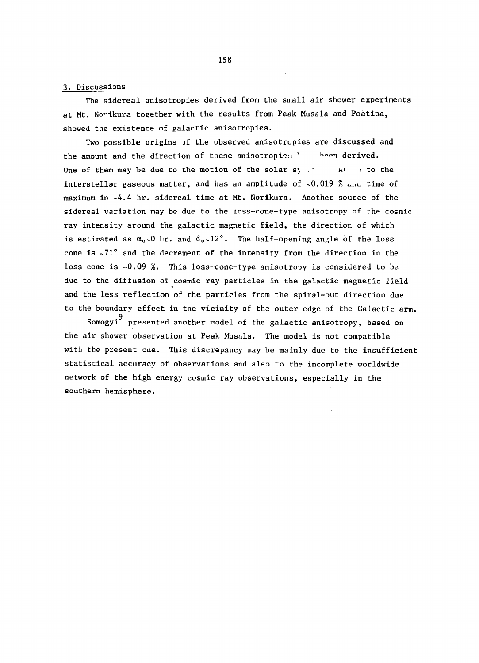## **3. Discussion s**

**The sidereal anisotropies derived from the small air shower experiments at Mt. No'-ikura together with the results from Peak Musala and Poatina, showed the existence of galactic anisotropies.** 

**Two possible origins** *of* **the observed anisotropies are discussed and**  the amount and the direction of these anisotropies ' heen derived. **One of them may be due to the motion of the solar sy**  $\mathcal{P}$  are  $\mathcal{P}$  to the **interstellar gaseous matter, and has an amplitude of -0.019 % ^nd time of maximum in ~4.4 hr. sidereal time at Mt. Norikura. Another source of tbe sidereal variation may be due to the ioss-cone-type anisotropy of the cosmic ray intensity around the galactic magnetic field, the direction of which**  is estimated as  $\alpha_0 \sim 0$  br. and  $\delta_0 \sim 12^\circ$ . The half-opening angle of the loss **cone is -71° and the decrement of the intensity from the direction in the loss cone is -0.09 %. This loss-cone-type anisotropy is considered to be due to the diffusion of cosmic ray particles in the galactic magnetic field and the less reflection of the particles from the spiral-out direction due**  to the boundary effect in the vicinity of the outer edge of the Galactic arm.

Somogyi<sup>9</sup> presented another model of the galactic anisotropy, based on the air shower observation at Peak Musala. The model is not compatible with the present one. This discrepancy may be mainly due to the insufficient statistical accuracy of observations and also to the incomplete worldwide network of the high energy cosmic ray observations, especially in the **network of the high energy cosmic ray observations, especially in the** 

**158**